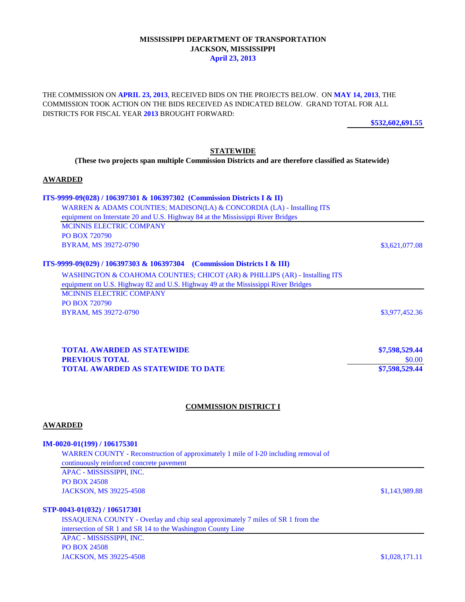# **MISSISSIPPI DEPARTMENT OF TRANSPORTATION JACKSON, MISSISSIPPI April 23, 2013**

THE COMMISSION ON **APRIL 23, 2013**, RECEIVED BIDS ON THE PROJECTS BELOW. ON **MAY 14, 2013**, THE COMMISSION TOOK ACTION ON THE BIDS RECEIVED AS INDICATED BELOW. GRAND TOTAL FOR ALL DISTRICTS FOR FISCAL YEAR **2013** BROUGHT FORWARD:

**\$532,602,691.55**

## **STATEWIDE**

**(These two projects span multiple Commission Districts and are therefore classified as Statewide)** 

#### **AWARDED**

# **ITS-9999-09(028) / 106397301 & 106397302 (Commission Districts I & II)** WARREN & ADAMS COUNTIES; MADISON(LA) & CONCORDIA (LA) - Installing ITS equipment on Interstate 20 and U.S. Highway 84 at the Mississippi River Bridges MCINNIS ELECTRIC COMPANY PO BOX 720790 BYRAM, MS 39272-0790 \$3,621,077.08 **ITS-9999-09(029) / 106397303 & 106397304 (Commission Districts I & III)** WASHINGTON & COAHOMA COUNTIES; CHICOT (AR) & PHILLIPS (AR) - Installing ITS equipment on U.S. Highway 82 and U.S. Highway 49 at the Mississippi River Bridges MCINNIS ELECTRIC COMPANY PO BOX 720790 **BYRAM, MS 39272-0790** \$3,977,452.36

| <b>TOTAL AWARDED AS STATEWIDE</b>         | \$7,598,529.44 |
|-------------------------------------------|----------------|
| <b>PREVIOUS TOTAL</b>                     | \$0.00         |
| <b>TOTAL AWARDED AS STATEWIDE TO DATE</b> | \$7,598,529.44 |

#### **COMMISSION DISTRICT I**

#### **AWARDED**

#### **IM-0020-01(199) / 106175301**

WARREN COUNTY - Reconstruction of approximately 1 mile of I-20 including removal of continuously reinforced concrete pavement APAC - MISSISSIPPI, INC.

PO BOX 24508 JACKSON, MS 39225-4508 \$1,143,989.88

## **STP-0043-01(032) / 106517301**

ISSAQUENA COUNTY - Overlay and chip seal approximately 7 miles of SR 1 from the intersection of SR 1 and SR 14 to the Washington County Line APAC - MISSISSIPPI, INC. PO BOX 24508 JACKSON, MS 39225-4508 \$1,028,171.11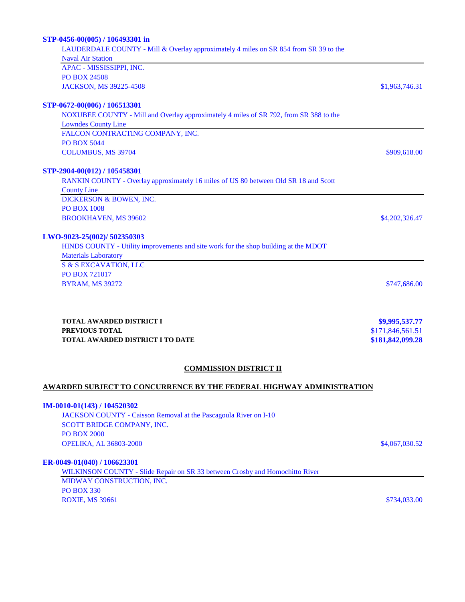| STP-0456-00(005) / 106493301 in                                                       |                  |  |
|---------------------------------------------------------------------------------------|------------------|--|
| LAUDERDALE COUNTY - Mill & Overlay approximately 4 miles on SR 854 from SR 39 to the  |                  |  |
| <b>Naval Air Station</b>                                                              |                  |  |
| APAC - MISSISSIPPI, INC.                                                              |                  |  |
| <b>PO BOX 24508</b>                                                                   |                  |  |
| JACKSON, MS 39225-4508                                                                | \$1,963,746.31   |  |
| STP-0672-00(006) / 106513301                                                          |                  |  |
| NOXUBEE COUNTY - Mill and Overlay approximately 4 miles of SR 792, from SR 388 to the |                  |  |
| <b>Lowndes County Line</b>                                                            |                  |  |
| FALCON CONTRACTING COMPANY, INC.                                                      |                  |  |
| <b>PO BOX 5044</b>                                                                    |                  |  |
| <b>COLUMBUS, MS 39704</b>                                                             | \$909,618.00     |  |
| STP-2904-00(012) / 105458301                                                          |                  |  |
| RANKIN COUNTY - Overlay approximately 16 miles of US 80 between Old SR 18 and Scott   |                  |  |
| <b>County Line</b>                                                                    |                  |  |
| DICKERSON & BOWEN, INC.                                                               |                  |  |
| <b>PO BOX 1008</b>                                                                    |                  |  |
| <b>BROOKHAVEN, MS 39602</b>                                                           | \$4,202,326.47   |  |
| LWO-9023-25(002)/ 502350303                                                           |                  |  |
| HINDS COUNTY - Utility improvements and site work for the shop building at the MDOT   |                  |  |
| <b>Materials Laboratory</b>                                                           |                  |  |
| <b>S &amp; S EXCAVATION, LLC</b>                                                      |                  |  |
| PO BOX 721017                                                                         |                  |  |
| <b>BYRAM, MS 39272</b>                                                                | \$747,686.00     |  |
|                                                                                       |                  |  |
| <b>TOTAL AWARDED DISTRICT I</b>                                                       | \$9,995,537.77   |  |
| PREVIOUS TOTAL                                                                        | \$171,846,561.51 |  |
| <b>TOTAL AWARDED DISTRICT I TO DATE</b>                                               | \$181,842,099.28 |  |
|                                                                                       |                  |  |
| <b>COMMISSION DISTRICT II</b>                                                         |                  |  |
| <b>AWARDED SUBJECT TO CONCURRENCE BY THE FEDERAL HIGHWAY ADMINISTRATION</b>           |                  |  |
| $IM-0010-01(143) / 104520302$                                                         |                  |  |
| <b>JACKSON COUNTY</b> - Caisson Removal at the Pascagoula River on I-10               |                  |  |

SCOTT BRIDGE COMPANY, INC. PO BOX 2000 OPELIKA, AL 36803-2000 \$4,067,030.52

## **ER-0049-01(040) / 106623301**

WILKINSON COUNTY - Slide Repair on SR 33 between Crosby and Homochitto River MIDWAY CONSTRUCTION, INC. PO BOX 330 ROXIE, MS 39661 \$734,033.00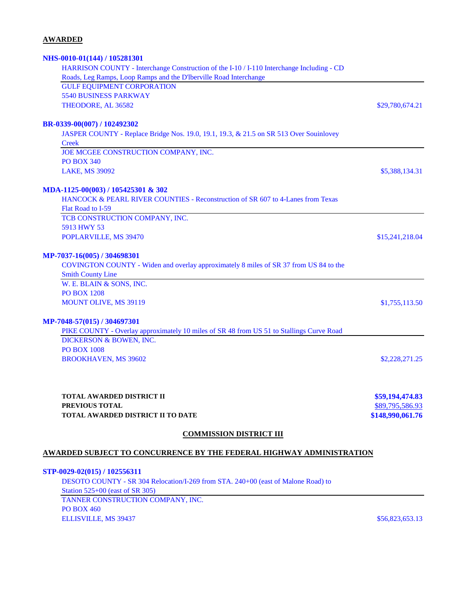# **AWARDED**

| <b>COMMISSION DISTRICT III</b>                                                                                        |                                    |  |
|-----------------------------------------------------------------------------------------------------------------------|------------------------------------|--|
| TOTAL AWARDED DISTRICT II TO DATE                                                                                     | \$148,990,061.76                   |  |
| <b>TOTAL AWARDED DISTRICT II</b><br>PREVIOUS TOTAL                                                                    | \$59,194,474.83<br>\$89,795,586.93 |  |
| <b>BROOKHAVEN, MS 39602</b>                                                                                           | \$2,228,271.25                     |  |
| <b>PO BOX 1008</b>                                                                                                    |                                    |  |
| DICKERSON & BOWEN, INC.                                                                                               |                                    |  |
| PIKE COUNTY - Overlay approximately 10 miles of SR 48 from US 51 to Stallings Curve Road                              |                                    |  |
| MP-7048-57(015) / 304697301                                                                                           |                                    |  |
| MOUNT OLIVE, MS 39119                                                                                                 | \$1,755,113.50                     |  |
| <b>PO BOX 1208</b>                                                                                                    |                                    |  |
| W. E. BLAIN & SONS, INC.                                                                                              |                                    |  |
| <b>Smith County Line</b>                                                                                              |                                    |  |
| MP-7037-16(005) / 304698301<br>COVINGTON COUNTY - Widen and overlay approximately 8 miles of SR 37 from US 84 to the  |                                    |  |
| POPLARVILLE, MS 39470                                                                                                 | \$15,241,218.04                    |  |
| 5913 HWY 53                                                                                                           |                                    |  |
| TCB CONSTRUCTION COMPANY, INC.                                                                                        |                                    |  |
| Flat Road to I-59                                                                                                     |                                    |  |
| MDA-1125-00(003) / 105425301 & 302<br>HANCOCK & PEARL RIVER COUNTIES - Reconstruction of SR 607 to 4-Lanes from Texas |                                    |  |
|                                                                                                                       |                                    |  |
| <b>LAKE, MS 39092</b>                                                                                                 | \$5,388,134.31                     |  |
| <b>PO BOX 340</b>                                                                                                     |                                    |  |
| JOE MCGEE CONSTRUCTION COMPANY, INC.                                                                                  |                                    |  |
| JASPER COUNTY - Replace Bridge Nos. 19.0, 19.1, 19.3, & 21.5 on SR 513 Over Souinlovey<br><b>Creek</b>                |                                    |  |
| BR-0339-00(007) / 102492302                                                                                           |                                    |  |
|                                                                                                                       |                                    |  |
| THEODORE, AL 36582                                                                                                    | \$29,780,674.21                    |  |
| <b>GULF EQUIPMENT CORPORATION</b><br><b>5540 BUSINESS PARKWAY</b>                                                     |                                    |  |
| Roads, Leg Ramps, Loop Ramps and the D'Iberville Road Interchange                                                     |                                    |  |
| HARRISON COUNTY - Interchange Construction of the I-10 / I-110 Interchange Including - CD                             |                                    |  |
| NHS-0010-01(144) / 105281301                                                                                          |                                    |  |

# **AWARDED SUBJECT TO CONCURRENCE BY THE FEDERAL HIGHWAY ADMINISTRATION**

**STP-0029-02(015) / 102556311** DESOTO COUNTY - SR 304 Relocation/I-269 from STA. 240+00 (east of Malone Road) to Station 525+00 (east of SR 305) TANNER CONSTRUCTION COMPANY, INC. PO BOX 460 ELLISVILLE, MS 39437 \$56,823,653.13